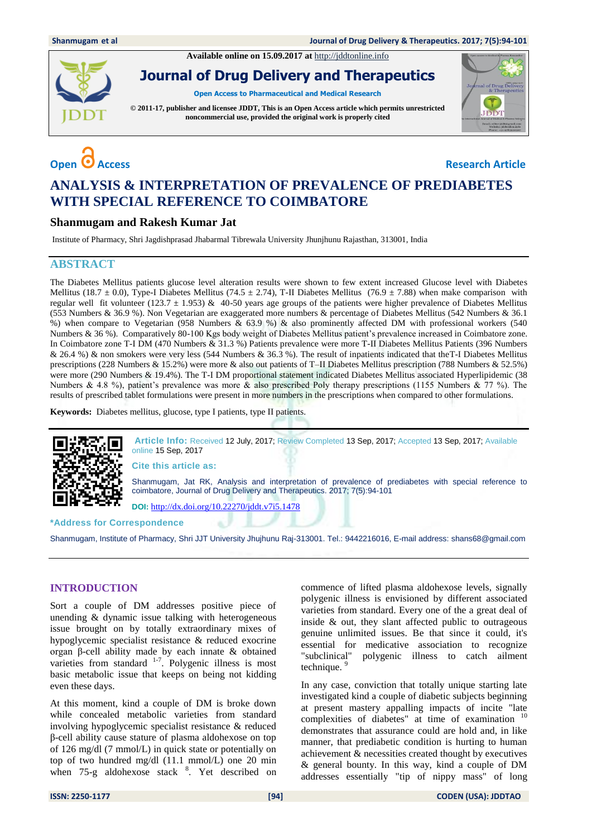**Available online on 15.09.2017 at** [http://jddtonline.info](http://jddtonline.info/)



**Journal of Drug Delivery and Therapeutics**

**Open Access to Pharmaceutical and Medical Research**

**© 2011-17, publisher and licensee JDDT, This is an Open Access article which permits unrestricted noncommercial use, provided the original work is properly cited**

# **Open C** Access **Research Article**

JDDT

## **ANALYSIS & INTERPRETATION OF PREVALENCE OF PREDIABETES WITH SPECIAL REFERENCE TO COIMBATORE**

#### **Shanmugam and Rakesh Kumar Jat**

Institute of Pharmacy, Shri Jagdishprasad Jhabarmal Tibrewala University Jhunjhunu Rajasthan, 313001, India

### **ABSTRACT**

The Diabetes Mellitus patients glucose level alteration results were shown to few extent increased Glucose level with Diabetes Mellitus (18.7 ± 0.0), Type-I Diabetes Mellitus (74.5 ± 2.74), T-II Diabetes Mellitus (76.9 ± 7.88) when make comparison with regular well fit volunteer (123.7  $\pm$  1.953) & 40-50 years age groups of the patients were higher prevalence of Diabetes Mellitus (553 Numbers & 36.9 %). Non Vegetarian are exaggerated more numbers & percentage of Diabetes Mellitus (542 Numbers & 36.1 %) when compare to Vegetarian (958 Numbers & 63.9 %) & also prominently affected DM with professional workers (540 Numbers & 36 %). Comparatively 80-100 Kgs body weight of Diabetes Mellitus patient's prevalence increased in Coimbatore zone. In Coimbatore zone T-I DM (470 Numbers & 31.3 %) Patients prevalence were more T-II Diabetes Mellitus Patients (396 Numbers & 26.4 %) & non smokers were very less (544 Numbers & 36.3 %). The result of inpatients indicated that theT-I Diabetes Mellitus prescriptions (228 Numbers & 15.2%) were more & also out patients of T–II Diabetes Mellitus prescription (788 Numbers & 52.5%) were more (290 Numbers & 19.4%). The T-I DM proportional statement indicated Diabetes Mellitus associated Hyperlipidemic (38 Numbers & 4.8 %), patient's prevalence was more & also prescribed Poly therapy prescriptions (1155 Numbers & 77 %). The results of prescribed tablet formulations were present in more numbers in the prescriptions when compared to other formulations.

**Keywords:** Diabetes mellitus, glucose, type I patients, type II patients.



**\*Address for Correspondence** 

Shanmugam, Institute of Pharmacy, Shri JJT University Jhujhunu Raj-313001. Tel.: 9442216016, E-mail address[: shans68@gmail.com](mailto:shans68@gmail.com)

#### **INTRODUCTION**

Sort a couple of DM addresses positive piece of unending & dynamic issue talking with heterogeneous issue brought on by totally extraordinary mixes of hypoglycemic specialist resistance & reduced exocrine organ β-cell ability made by each innate & obtained varieties from standard  $1-7$ . Polygenic illness is most basic metabolic issue that keeps on being not kidding even these days.

At this moment, kind a couple of DM is broke down while concealed metabolic varieties from standard involving hypoglycemic specialist resistance & reduced β-cell ability cause stature of plasma aldohexose on top of 126 mg/dl (7 mmol/L) in quick state or potentially on top of two hundred mg/dl (11.1 mmol/L) one 20 min when 75-g aldohexose stack <sup>8</sup>. Yet described on commence of lifted plasma aldohexose levels, signally polygenic illness is envisioned by different associated varieties from standard. Every one of the a great deal of inside & out, they slant affected public to outrageous genuine unlimited issues. Be that since it could, it's essential for medicative association to recognize "subclinical" polygenic illness to catch ailment technique. 9

In any case, conviction that totally unique starting late investigated kind a couple of diabetic subjects beginning at present mastery appalling impacts of incite "late complexities of diabetes" at time of examination <sup>10</sup> demonstrates that assurance could are hold and, in like manner, that prediabetic condition is hurting to human achievement & necessities created thought by executives & general bounty. In this way, kind a couple of DM addresses essentially "tip of nippy mass" of long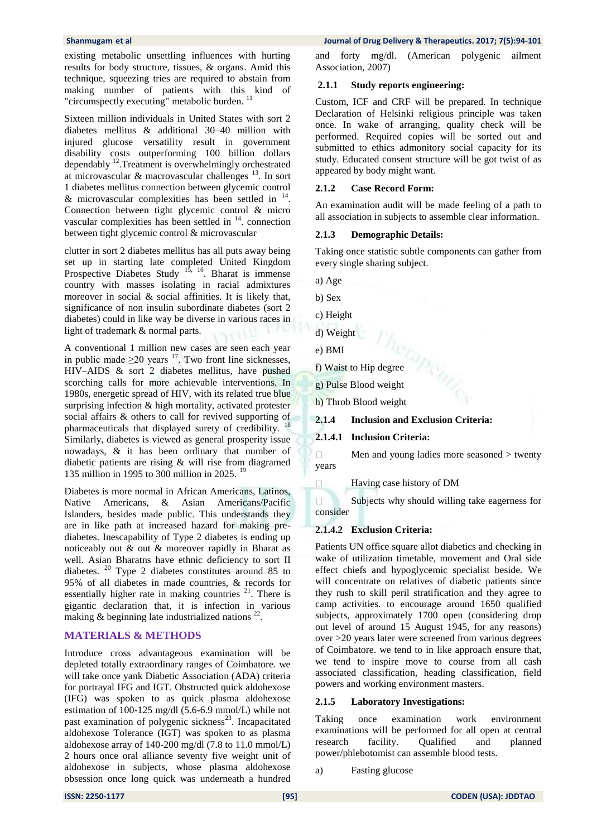existing metabolic unsettling influences with hurting results for body structure, tissues, & organs. Amid this technique, squeezing tries are required to abstain from making number of patients with this kind of "circumspectly executing" metabolic burden.

Sixteen million individuals in United States with sort 2 diabetes mellitus & additional 30–40 million with injured glucose versatility result in government disability costs outperforming 100 billion dollars dependably <sup>12</sup>.Treatment is overwhelmingly orchestrated at microvascular & macrovascular challenges  $^{13}$ . In sort 1 diabetes mellitus connection between glycemic control  $\&$  microvascular complexities has been settled in  $^{14}$ . Connection between tight glycemic control & micro vascular complexities has been settled in  $14$ . connection between tight glycemic control & microvascular

clutter in sort 2 diabetes mellitus has all puts away being set up in starting late completed United Kingdom Prospective Diabetes Study  $1^{\overline{5}$ ,  $1^{\overline{6}}$ . Bharat is immense country with masses isolating in racial admixtures moreover in social & social affinities. It is likely that, significance of non insulin subordinate diabetes (sort 2 diabetes) could in like way be diverse in various races in light of trademark & normal parts.

A conventional 1 million new cases are seen each year in public made  $\geq 20$  years <sup>17</sup>. Two front line sicknesses, HIV–AIDS & sort 2 diabetes mellitus, have pushed scorching calls for more achievable interventions. In 1980s, energetic spread of HIV, with its related true blue surprising infection & high mortality, activated protester social affairs & others to call for revived supporting of pharmaceuticals that displayed surety of credibility. <sup>18</sup> Similarly, diabetes is viewed as general prosperity issue nowadays, & it has been ordinary that number of diabetic patients are rising & will rise from diagramed 135 million in 1995 to 300 million in 2025. <sup>19</sup>

Diabetes is more normal in African Americans, Latinos, Native Americans, & Asian Americans/Pacific Islanders, besides made public. This understands they are in like path at increased hazard for making prediabetes. Inescapability of Type 2 diabetes is ending up noticeably out & out & moreover rapidly in Bharat as well. Asian Bharatns have ethnic deficiency to sort II diabetes. <sup>20</sup> Type 2 diabetes constitutes around 85 to 95% of all diabetes in made countries, & records for essentially higher rate in making countries  $21$ . There is gigantic declaration that, it is infection in various making  $\&$  beginning late industrialized nations  $^{22}$ .

#### **MATERIALS & METHODS**

Introduce cross advantageous examination will be depleted totally extraordinary ranges of Coimbatore. we will take once yank Diabetic Association (ADA) criteria for portrayal IFG and IGT. Obstructed quick aldohexose (IFG) was spoken to as quick plasma aldohexose estimation of 100-125 mg/dl (5.6-6.9 mmol/L) while not past examination of polygenic sickness<sup>23</sup>. Incapacitated aldohexose Tolerance (IGT) was spoken to as plasma aldohexose array of 140-200 mg/dl (7.8 to 11.0 mmol/L) 2 hours once oral alliance seventy five weight unit of aldohexose in subjects, whose plasma aldohexose obsession once long quick was underneath a hundred

and forty mg/dl. (American polygenic ailment Association, 2007)

#### **2.1.1 Study reports engineering:**

Custom, ICF and CRF will be prepared. In technique Declaration of Helsinki religious principle was taken once. In wake of arranging, quality check will be performed. Required copies will be sorted out and submitted to ethics admonitory social capacity for its study. Educated consent structure will be got twist of as appeared by body might want.

#### **2.1.2 Case Record Form:**

An examination audit will be made feeling of a path to all association in subjects to assemble clear information.

#### **2.1.3 Demographic Details:**

Taking once statistic subtle components can gather from every single sharing subject.

- a) Age
- b) Sex
- c) Height
- d) Weight
- e) BMI

 $\Box$ 

- f) Waist to Hip degree
- g) Pulse Blood weight
- h) Throb Blood weight
- **2.1.4 Inclusion and Exclusion Criteria:**
- **2.1.4.1 Inclusion Criteria:**

 $\Box$ Men and young ladies more seasoned > twenty years

Having case history of DM

Subjects why should willing take eagerness for consider

#### **2.1.4.2 Exclusion Criteria:**

Patients UN office square allot diabetics and checking in wake of utilization timetable, movement and Oral side effect chiefs and hypoglycemic specialist beside. We will concentrate on relatives of diabetic patients since they rush to skill peril stratification and they agree to camp activities. to encourage around 1650 qualified subjects, approximately 1700 open (considering drop out level of around 15 August 1945, for any reasons) over >20 years later were screened from various degrees of Coimbatore. we tend to in like approach ensure that, we tend to inspire move to course from all cash associated classification, heading classification, field powers and working environment masters.

#### **2.1.5 Laboratory Investigations:**

Taking once examination work environment examinations will be performed for all open at central research facility. Qualified and planned power/phlebotomist can assemble blood tests.

a) Fasting glucose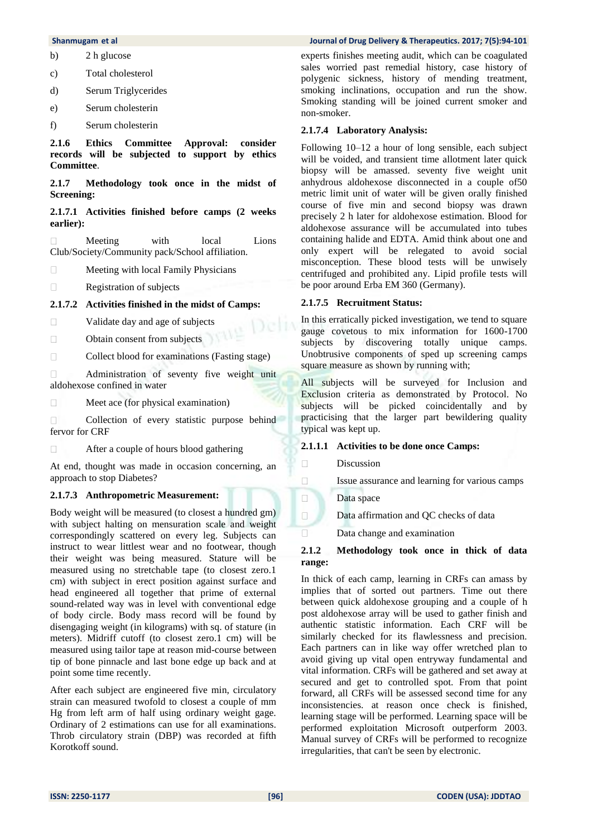#### **Shanmugam et al Journal of Drug Delivery & Therapeutics. 2017; 7(5):94-101**

- b) 2 h glucose
- c) Total cholesterol
- d) Serum Triglycerides
- e) Serum cholesterin
- f) Serum cholesterin

**2.1.6 Ethics Committee Approval: consider records will be subjected to support by ethics Committee**.

**2.1.7 Methodology took once in the midst of Screening:** 

#### **2.1.7.1 Activities finished before camps (2 weeks earlier):**

 $\Box$ Meeting with local Lions Club/Society/Community pack/School affiliation.

Meeting with local Family Physicians  $\Box$ 

 $\Box$ Registration of subjects

#### **2.1.7.2 Activities finished in the midst of Camps:**

 $\Box$ Validate day and age of subjects

 $\Box$ Obtain consent from subjects

 $\Box$ Collect blood for examinations (Fasting stage)

Administration of seventy five weight unit  $\Box$ aldohexose confined in water

 $\Box$ Meet ace (for physical examination)

 $\Box$ Collection of every statistic purpose behind fervor for CRF

 $\Box$ After a couple of hours blood gathering

At end, thought was made in occasion concerning, an approach to stop Diabetes?

#### **2.1.7.3 Anthropometric Measurement:**

Body weight will be measured (to closest a hundred gm) with subject halting on mensuration scale and weight correspondingly scattered on every leg. Subjects can instruct to wear littlest wear and no footwear, though their weight was being measured. Stature will be measured using no stretchable tape (to closest zero.1 cm) with subject in erect position against surface and head engineered all together that prime of external sound-related way was in level with conventional edge of body circle. Body mass record will be found by disengaging weight (in kilograms) with sq. of stature (in meters). Midriff cutoff (to closest zero.1 cm) will be measured using tailor tape at reason mid-course between tip of bone pinnacle and last bone edge up back and at point some time recently.

After each subject are engineered five min, circulatory strain can measured twofold to closest a couple of mm Hg from left arm of half using ordinary weight gage. Ordinary of 2 estimations can use for all examinations. Throb circulatory strain (DBP) was recorded at fifth Korotkoff sound.

experts finishes meeting audit, which can be coagulated sales worried past remedial history, case history of polygenic sickness, history of mending treatment, smoking inclinations, occupation and run the show. Smoking standing will be joined current smoker and non-smoker.

#### **2.1.7.4 Laboratory Analysis:**

Following 10–12 a hour of long sensible, each subject will be voided, and transient time allotment later quick biopsy will be amassed. seventy five weight unit anhydrous aldohexose disconnected in a couple of50 metric limit unit of water will be given orally finished course of five min and second biopsy was drawn precisely 2 h later for aldohexose estimation. Blood for aldohexose assurance will be accumulated into tubes containing halide and EDTA. Amid think about one and only expert will be relegated to avoid social misconception. These blood tests will be unwisely centrifuged and prohibited any. Lipid profile tests will be poor around Erba EM 360 (Germany).

#### **2.1.7.5 Recruitment Status:**

In this erratically picked investigation, we tend to square gauge covetous to mix information for 1600-1700 subjects by discovering totally unique camps. Unobtrusive components of sped up screening camps square measure as shown by running with;

All subjects will be surveyed for Inclusion and Exclusion criteria as demonstrated by Protocol. No subjects will be picked coincidentally and by practicising that the larger part bewildering quality typical was kept up.

#### **2.1.1.1 Activities to be done once Camps:**

Discussion

 $\Box$  $\Box$  $\Box$  $\Box$  $\Box$ 

Issue assurance and learning for various camps

Data space

Data affirmation and QC checks of data

Data change and examination

#### **2.1.2 Methodology took once in thick of data range:**

In thick of each camp, learning in CRFs can amass by implies that of sorted out partners. Time out there between quick aldohexose grouping and a couple of h post aldohexose array will be used to gather finish and authentic statistic information. Each CRF will be similarly checked for its flawlessness and precision. Each partners can in like way offer wretched plan to avoid giving up vital open entryway fundamental and vital information. CRFs will be gathered and set away at secured and get to controlled spot. From that point forward, all CRFs will be assessed second time for any inconsistencies. at reason once check is finished, learning stage will be performed. Learning space will be performed exploitation Microsoft outperform 2003. Manual survey of CRFs will be performed to recognize irregularities, that can't be seen by electronic.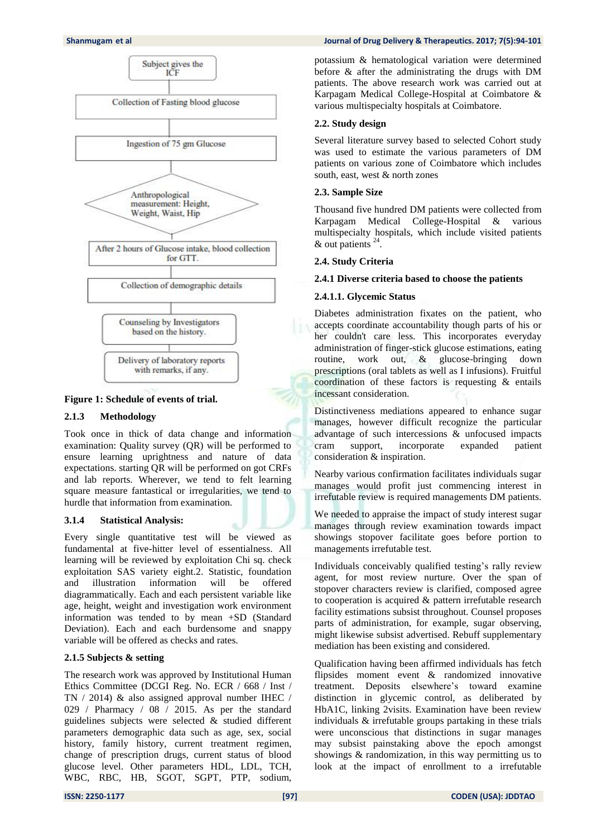#### **Shanmugam** et al **Journal of Drug Delivery & Therapeutics. 2017; 7(5):94-101 <b>***Drug Delivery & Therapeutics.*



#### **Figure 1: Schedule of events of trial.**

#### **2.1.3 Methodology**

Took once in thick of data change and information examination: Quality survey (QR) will be performed to ensure learning uprightness and nature of data expectations. starting QR will be performed on got CRFs and lab reports. Wherever, we tend to felt learning square measure fantastical or irregularities, we tend to hurdle that information from examination.

#### **3.1.4 Statistical Analysis:**

Every single quantitative test will be viewed as fundamental at five-hitter level of essentialness. All learning will be reviewed by exploitation Chi sq. check exploitation SAS variety eight.2. Statistic, foundation and illustration information will be offered diagrammatically. Each and each persistent variable like age, height, weight and investigation work environment information was tended to by mean +SD (Standard Deviation). Each and each burdensome and snappy variable will be offered as checks and rates.

#### **2.1.5 Subjects & setting**

The research work was approved by Institutional Human Ethics Committee (DCGI Reg. No. ECR / 668 / Inst / TN / 2014) & also assigned approval number IHEC / 029 / Pharmacy / 08 / 2015. As per the standard guidelines subjects were selected & studied different parameters demographic data such as age, sex, social history, family history, current treatment regimen, change of prescription drugs, current status of blood glucose level. Other parameters HDL, LDL, TCH, WBC, RBC, HB, SGOT, SGPT, PTP, sodium,

potassium & hematological variation were determined before & after the administrating the drugs with DM patients. The above research work was carried out at Karpagam Medical College-Hospital at Coimbatore & various multispecialty hospitals at Coimbatore.

#### **2.2. Study design**

Several literature survey based to selected Cohort study was used to estimate the various parameters of DM patients on various zone of Coimbatore which includes south, east, west & north zones

#### **2.3. Sample Size**

Thousand five hundred DM patients were collected from Karpagam Medical College-Hospital & various multispecialty hospitals, which include visited patients  $&$  out patients  $^{24}$ .

#### **2.4. Study Criteria**

#### **2.4.1 Diverse criteria based to choose the patients**

#### **2.4.1.1. Glycemic Status**

Diabetes administration fixates on the patient, who accepts coordinate accountability though parts of his or her couldn't care less. This incorporates everyday administration of finger-stick glucose estimations, eating routine, work out, & glucose-bringing down prescriptions (oral tablets as well as I infusions). Fruitful coordination of these factors is requesting & entails incessant consideration.

Distinctiveness mediations appeared to enhance sugar manages, however difficult recognize the particular advantage of such intercessions & unfocused impacts cram support, incorporate expanded patient consideration & inspiration.

Nearby various confirmation facilitates individuals sugar manages would profit just commencing interest in irrefutable review is required managements DM patients.

We needed to appraise the impact of study interest sugar manages through review examination towards impact showings stopover facilitate goes before portion to managements irrefutable test.

Individuals conceivably qualified testing's rally review agent, for most review nurture. Over the span of stopover characters review is clarified, composed agree to cooperation is acquired & pattern irrefutable research facility estimations subsist throughout. Counsel proposes parts of administration, for example, sugar observing, might likewise subsist advertised. Rebuff supplementary mediation has been existing and considered.

Qualification having been affirmed individuals has fetch flipsides moment event & randomized innovative treatment. Deposits elsewhere's toward examine distinction in glycemic control, as deliberated by HbA1C, linking 2visits. Examination have been review individuals & irrefutable groups partaking in these trials were unconscious that distinctions in sugar manages may subsist painstaking above the epoch amongst showings & randomization, in this way permitting us to look at the impact of enrollment to a irrefutable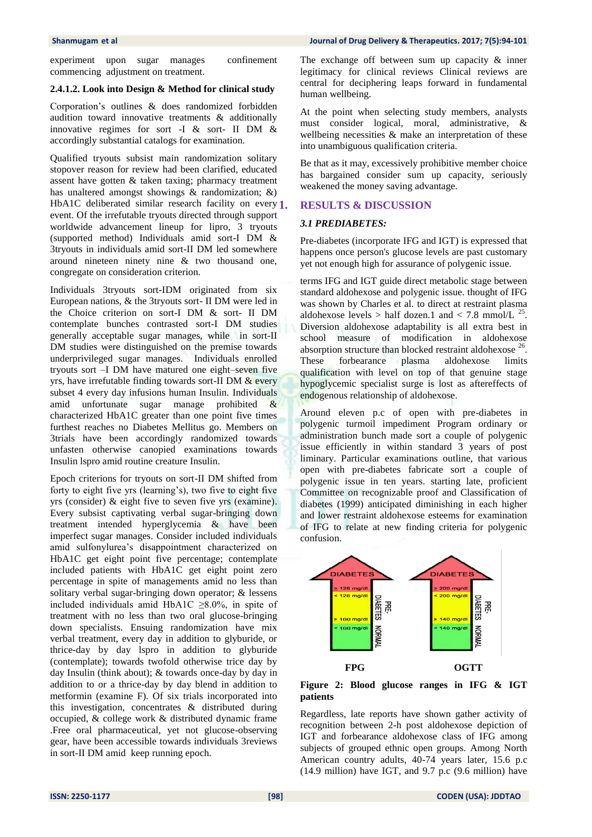experiment upon sugar manages confinement commencing adjustment on treatment.

#### **2.4.1.2. Look into Design & Method for clinical study**

Corporation's outlines & does randomized forbidden audition toward innovative treatments & additionally innovative regimes for sort -I & sort- II DM & accordingly substantial catalogs for examination.

Qualified tryouts subsist main randomization solitary stopover reason for review had been clarified, educated assent have gotten & taken taxing; pharmacy treatment has unaltered amongst showings & randomization; &) HbA1C deliberated similar research facility on every 1. event. Of the irrefutable tryouts directed through support worldwide advancement lineup for lipro, 3 tryouts (supported method) Individuals amid sort-I DM & 3tryouts in individuals amid sort-II DM led somewhere around nineteen ninety nine & two thousand one, congregate on consideration criterion.

Individuals 3tryouts sort-IDM originated from six European nations, & the 3tryouts sort- II DM were led in the Choice criterion on sort-I DM & sort- II DM contemplate bunches contrasted sort-I DM studies generally acceptable sugar manages, while in sort-II DM studies were distinguished on the premise towards underprivileged sugar manages. Individuals enrolled tryouts sort –I DM have matured one eight–seven five yrs, have irrefutable finding towards sort-II DM & every subset 4 every day infusions human Insulin. Individuals amid unfortunate sugar manage prohibited & characterized HbA1C greater than one point five times furthest reaches no Diabetes Mellitus go. Members on 3trials have been accordingly randomized towards unfasten otherwise canopied examinations towards Insulin lspro amid routine creature Insulin.

Epoch criterions for tryouts on sort-II DM shifted from forty to eight five yrs (learning's), two five to eight five yrs (consider) & eight five to seven five yrs (examine). Every subsist captivating verbal sugar-bringing down treatment intended hyperglycemia & have been imperfect sugar manages. Consider included individuals amid sulfonylurea's disappointment characterized on HbA1C get eight point five percentage; contemplate included patients with HbA1C get eight point zero percentage in spite of managements amid no less than solitary verbal sugar-bringing down operator; & lessens included individuals amid HbA1C  $\geq 8.0\%$ , in spite of treatment with no less than two oral glucose-bringing down specialists. Ensuing randomization have mix verbal treatment, every day in addition to glyburide, or thrice-day by day lspro in addition to glyburide (contemplate); towards twofold otherwise trice day by day Insulin (think about); & towards once-day by day in addition to or a thrice-day by day blend in addition to metformin (examine F). Of six trials incorporated into this investigation, concentrates & distributed during occupied, & college work & distributed dynamic frame .Free oral pharmaceutical, yet not glucose-observing gear, have been accessible towards individuals 3reviews in sort-II DM amid keep running epoch.

The exchange off between sum up capacity  $\&$  inner legitimacy for clinical reviews Clinical reviews are central for deciphering leaps forward in fundamental human wellbeing.

At the point when selecting study members, analysts must consider logical, moral, administrative, & wellbeing necessities & make an interpretation of these into unambiguous qualification criteria.

Be that as it may, excessively prohibitive member choice has bargained consider sum up capacity, seriously weakened the money saving advantage.

#### **1. RESULTS & DISCUSSION**

#### *3.1 PREDIABETES:*

Pre-diabetes (incorporate IFG and IGT) is expressed that happens once person's glucose levels are past customary yet not enough high for assurance of polygenic issue.

terms IFG and IGT guide direct metabolic stage between standard aldohexose and polygenic issue. thought of IFG was shown by Charles et al. to direct at restraint plasma aldohexose levels > half dozen.1 and < 7.8 mmol/L  $^{25}$ . Diversion aldohexose adaptability is all extra best in school measure of modification in aldohexose absorption structure than blocked restraint aldohexose  $26$ . These forbearance plasma aldohexose limits qualification with level on top of that genuine stage hypoglycemic specialist surge is lost as aftereffects of endogenous relationship of aldohexose.

Around eleven p.c of open with pre-diabetes in polygenic turmoil impediment Program ordinary or administration bunch made sort a couple of polygenic issue efficiently in within standard 3 years of post liminary. Particular examinations outline, that various open with pre-diabetes fabricate sort a couple of polygenic issue in ten years. starting late, proficient Committee on recognizable proof and Classification of diabetes (1999) anticipated diminishing in each higher and lower restraint aldohexose esteems for examination of IFG to relate at new finding criteria for polygenic confusion.



**Figure 2: Blood glucose ranges in IFG & IGT patients**

Regardless, late reports have shown gather activity of recognition between 2-h post aldohexose depiction of IGT and forbearance aldohexose class of IFG among subjects of grouped ethnic open groups. Among North American country adults, 40-74 years later, 15.6 p.c (14.9 million) have IGT, and 9.7 p.c (9.6 million) have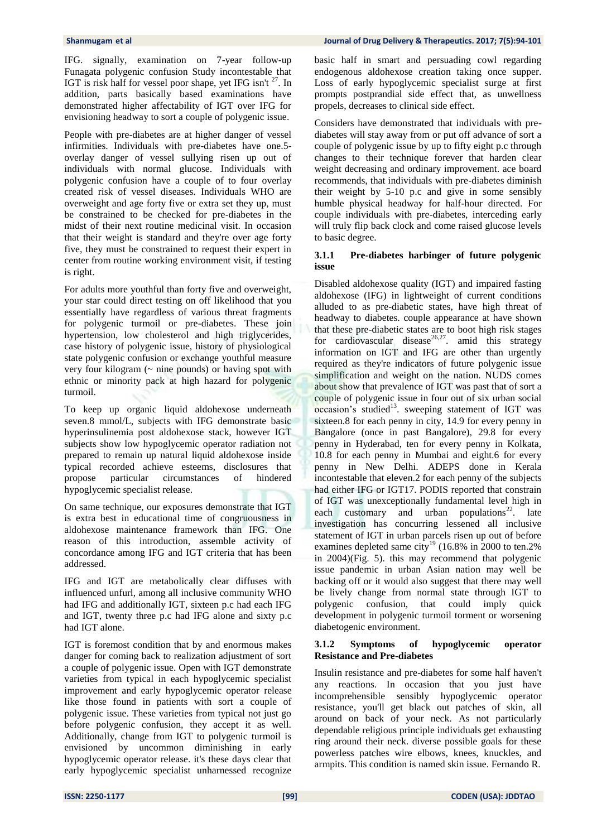IFG. signally, examination on 7-year follow-up Funagata polygenic confusion Study incontestable that IGT is risk half for vessel poor shape, yet IFG isn't <sup>27</sup>. In addition, parts basically based examinations have demonstrated higher affectability of IGT over IFG for envisioning headway to sort a couple of polygenic issue.

People with pre-diabetes are at higher danger of vessel infirmities. Individuals with pre-diabetes have one.5 overlay danger of vessel sullying risen up out of individuals with normal glucose. Individuals with polygenic confusion have a couple of to four overlay created risk of vessel diseases. Individuals WHO are overweight and age forty five or extra set they up, must be constrained to be checked for pre-diabetes in the midst of their next routine medicinal visit. In occasion that their weight is standard and they're over age forty five, they must be constrained to request their expert in center from routine working environment visit, if testing is right.

For adults more youthful than forty five and overweight, your star could direct testing on off likelihood that you essentially have regardless of various threat fragments for polygenic turmoil or pre-diabetes. These join hypertension, low cholesterol and high triglycerides, case history of polygenic issue, history of physiological state polygenic confusion or exchange youthful measure very four kilogram  $($   $\sim$  nine pounds) or having spot with ethnic or minority pack at high hazard for polygenic turmoil.

To keep up organic liquid aldohexose underneath seven.8 mmol/L, subjects with IFG demonstrate basic hyperinsulinemia post aldohexose stack, however IGT subjects show low hypoglycemic operator radiation not prepared to remain up natural liquid aldohexose inside typical recorded achieve esteems, disclosures that propose particular circumstances of hindered hypoglycemic specialist release.

On same technique, our exposures demonstrate that IGT is extra best in educational time of congruousness in aldohexose maintenance framework than IFG. One reason of this introduction, assemble activity of concordance among IFG and IGT criteria that has been addressed.

IFG and IGT are metabolically clear diffuses with influenced unfurl, among all inclusive community WHO had IFG and additionally IGT, sixteen p.c had each IFG and IGT, twenty three p.c had IFG alone and sixty p.c had IGT alone.

IGT is foremost condition that by and enormous makes danger for coming back to realization adjustment of sort a couple of polygenic issue. Open with IGT demonstrate varieties from typical in each hypoglycemic specialist improvement and early hypoglycemic operator release like those found in patients with sort a couple of polygenic issue. These varieties from typical not just go before polygenic confusion, they accept it as well. Additionally, change from IGT to polygenic turmoil is envisioned by uncommon diminishing in early hypoglycemic operator release. it's these days clear that early hypoglycemic specialist unharnessed recognize basic half in smart and persuading cowl regarding endogenous aldohexose creation taking once supper. Loss of early hypoglycemic specialist surge at first prompts postprandial side effect that, as unwellness propels, decreases to clinical side effect.

Considers have demonstrated that individuals with prediabetes will stay away from or put off advance of sort a couple of polygenic issue by up to fifty eight p.c through changes to their technique forever that harden clear weight decreasing and ordinary improvement. ace board recommends, that individuals with pre-diabetes diminish their weight by 5-10 p.c and give in some sensibly humble physical headway for half-hour directed. For couple individuals with pre-diabetes, interceding early will truly flip back clock and come raised glucose levels to basic degree.

#### **3.1.1 Pre-diabetes harbinger of future polygenic issue**

Disabled aldohexose quality (IGT) and impaired fasting aldohexose (IFG) in lightweight of current conditions alluded to as pre-diabetic states, have high threat of headway to diabetes. couple appearance at have shown that these pre-diabetic states are to boot high risk stages for cardiovascular disease<sup>26,27</sup>. amid this strategy information on IGT and IFG are other than urgently required as they're indicators of future polygenic issue simplification and weight on the nation. NUDS comes about show that prevalence of IGT was past that of sort a couple of polygenic issue in four out of six urban social  $occasion's studied<sup>13</sup>$ . sweeping statement of IGT was sixteen.8 for each penny in city, 14.9 for every penny in Bangalore (once in past Bangalore), 29.8 for every penny in Hyderabad, ten for every penny in Kolkata, 10.8 for each penny in Mumbai and eight.6 for every penny in New Delhi. ADEPS done in Kerala incontestable that eleven.2 for each penny of the subjects had either IFG or IGT17. PODIS reported that constrain of IGT was unexceptionally fundamental level high in each customary and urban populations $2^2$ . late investigation has concurring lessened all inclusive statement of IGT in urban parcels risen up out of before examines depleted same city<sup>19</sup> (16.8% in 2000 to ten.2% in 2004)(Fig. 5). this may recommend that polygenic issue pandemic in urban Asian nation may well be backing off or it would also suggest that there may well be lively change from normal state through IGT to polygenic confusion, that could imply quick development in polygenic turmoil torment or worsening diabetogenic environment.

#### **3.1.2 Symptoms of hypoglycemic operator Resistance and Pre-diabetes**

Insulin resistance and pre-diabetes for some half haven't any reactions. In occasion that you just have incomprehensible sensibly hypoglycemic operator resistance, you'll get black out patches of skin, all around on back of your neck. As not particularly dependable religious principle individuals get exhausting ring around their neck. diverse possible goals for these powerless patches wire elbows, knees, knuckles, and armpits. This condition is named skin issue. Fernando R.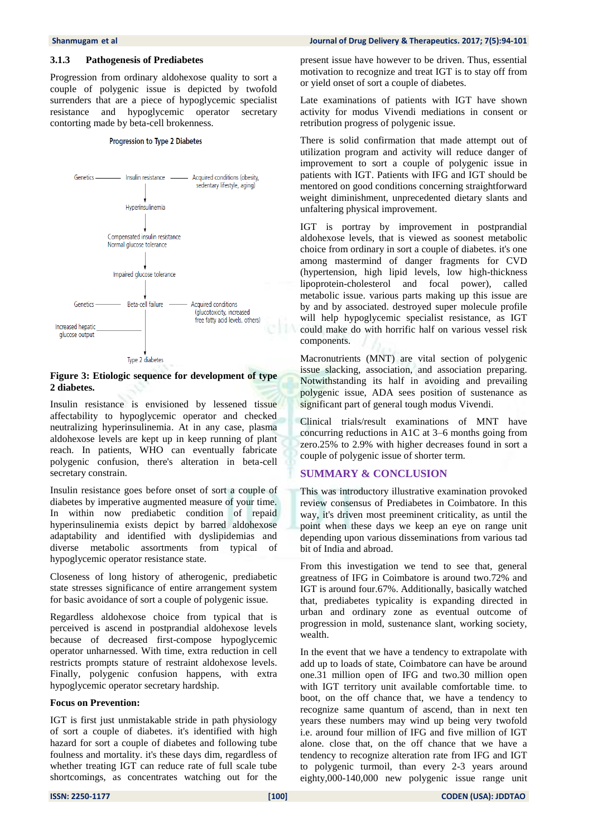#### **3.1.3 Pathogenesis of Prediabetes**

Progression from ordinary aldohexose quality to sort a couple of polygenic issue is depicted by twofold surrenders that are a piece of hypoglycemic specialist resistance and hypoglycemic operator secretary contorting made by beta-cell brokenness.

#### Progression to Type 2 Diabetes



Type 2 diabetes

#### **Figure 3: Etiologic sequence for development of type 2 diabetes.**

Insulin resistance is envisioned by lessened tissue affectability to hypoglycemic operator and checked neutralizing hyperinsulinemia. At in any case, plasma aldohexose levels are kept up in keep running of plant reach. In patients, WHO can eventually fabricate polygenic confusion, there's alteration in beta-cell secretary constrain.

Insulin resistance goes before onset of sort a couple of diabetes by imperative augmented measure of your time. In within now prediabetic condition of repaid hyperinsulinemia exists depict by barred aldohexose adaptability and identified with dyslipidemias and diverse metabolic assortments from typical of hypoglycemic operator resistance state.

Closeness of long history of atherogenic, prediabetic state stresses significance of entire arrangement system for basic avoidance of sort a couple of polygenic issue.

Regardless aldohexose choice from typical that is perceived is ascend in postprandial aldohexose levels because of decreased first-compose hypoglycemic operator unharnessed. With time, extra reduction in cell restricts prompts stature of restraint aldohexose levels. Finally, polygenic confusion happens, with extra hypoglycemic operator secretary hardship.

#### **Focus on Prevention:**

IGT is first just unmistakable stride in path physiology of sort a couple of diabetes. it's identified with high hazard for sort a couple of diabetes and following tube foulness and mortality. it's these days dim, regardless of whether treating IGT can reduce rate of full scale tube shortcomings, as concentrates watching out for the

#### **Shanmugam** et al **Journal of Drug Delivery & Therapeutics. 2017; 7(5):94-101** *Journal of Drug Delivery & Therapeutics. 2017; 7(5):94-101*

present issue have however to be driven. Thus, essential motivation to recognize and treat IGT is to stay off from or yield onset of sort a couple of diabetes.

Late examinations of patients with IGT have shown activity for modus Vivendi mediations in consent or retribution progress of polygenic issue.

There is solid confirmation that made attempt out of utilization program and activity will reduce danger of improvement to sort a couple of polygenic issue in patients with IGT. Patients with IFG and IGT should be mentored on good conditions concerning straightforward weight diminishment, unprecedented dietary slants and unfaltering physical improvement.

IGT is portray by improvement in postprandial aldohexose levels, that is viewed as soonest metabolic choice from ordinary in sort a couple of diabetes. it's one among mastermind of danger fragments for CVD (hypertension, high lipid levels, low high-thickness lipoprotein-cholesterol and focal power), called metabolic issue. various parts making up this issue are by and by associated. destroyed super molecule profile will help hypoglycemic specialist resistance, as IGT could make do with horrific half on various vessel risk components.

Macronutrients (MNT) are vital section of polygenic issue slacking, association, and association preparing. Notwithstanding its half in avoiding and prevailing polygenic issue, ADA sees position of sustenance as significant part of general tough modus Vivendi.

Clinical trials/result examinations of MNT have concurring reductions in A1C at 3–6 months going from zero.25% to 2.9% with higher decreases found in sort a couple of polygenic issue of shorter term.

#### **SUMMARY & CONCLUSION**

This was introductory illustrative examination provoked review consensus of Prediabetes in Coimbatore. In this way, it's driven most preeminent criticality, as until the point when these days we keep an eye on range unit depending upon various disseminations from various tad bit of India and abroad.

From this investigation we tend to see that, general greatness of IFG in Coimbatore is around two.72% and IGT is around four.67%. Additionally, basically watched that, prediabetes typicality is expanding directed in urban and ordinary zone as eventual outcome of progression in mold, sustenance slant, working society, wealth.

In the event that we have a tendency to extrapolate with add up to loads of state, Coimbatore can have be around one.31 million open of IFG and two.30 million open with IGT territory unit available comfortable time. to boot, on the off chance that, we have a tendency to recognize same quantum of ascend, than in next ten years these numbers may wind up being very twofold i.e. around four million of IFG and five million of IGT alone. close that, on the off chance that we have a tendency to recognize alteration rate from IFG and IGT to polygenic turmoil, than every 2-3 years around eighty,000-140,000 new polygenic issue range unit